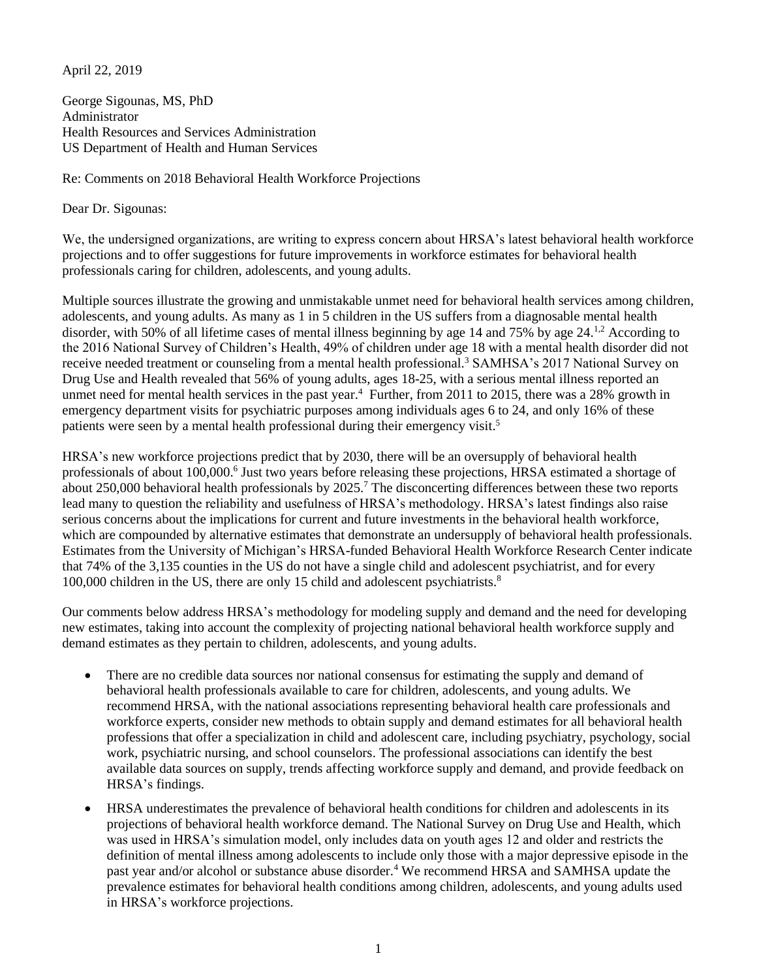April 22, 2019

George Sigounas, MS, PhD Administrator Health Resources and Services Administration US Department of Health and Human Services

Re: Comments on 2018 Behavioral Health Workforce Projections

Dear Dr. Sigounas:

We, the undersigned organizations, are writing to express concern about HRSA's latest behavioral health workforce projections and to offer suggestions for future improvements in workforce estimates for behavioral health professionals caring for children, adolescents, and young adults.

Multiple sources illustrate the growing and unmistakable unmet need for behavioral health services among children, adolescents, and young adults. As many as 1 in 5 children in the US suffers from a diagnosable mental health disorder, with 50% of all lifetime cases of mental illness beginning by age 14 and 75% by age 24.<sup>1,2</sup> According to the 2016 National Survey of Children's Health, 49% of children under age 18 with a mental health disorder did not receive needed treatment or counseling from a mental health professional.<sup>3</sup> SAMHSA's 2017 National Survey on Drug Use and Health revealed that 56% of young adults, ages 18-25, with a serious mental illness reported an unmet need for mental health services in the past year.<sup>4</sup> Further, from 2011 to 2015, there was a 28% growth in emergency department visits for psychiatric purposes among individuals ages 6 to 24, and only 16% of these patients were seen by a mental health professional during their emergency visit.<sup>5</sup>

<span id="page-0-0"></span>HRSA's new workforce projections predict that by 2030, there will be an oversupply of behavioral health professionals of about 100,000.<sup>6</sup> Just two years before releasing these projections, HRSA estimated a shortage of about 250,000 behavioral health professionals by 2025.<sup>7</sup> The disconcerting differences between these two reports lead many to question the reliability and usefulness of HRSA's methodology. HRSA's latest findings also raise serious concerns about the implications for current and future investments in the behavioral health workforce, which are compounded by alternative estimates that demonstrate an undersupply of behavioral health professionals. Estimates from the University of Michigan's HRSA-funded Behavioral Health Workforce Research Center indicate that 74% of the 3,135 counties in the US do not have a single child and adolescent psychiatrist, and for every 100,000 children in the US, there are only 15 child and adolescent psychiatrists. $8<sup>8</sup>$ 

Our comments below address HRSA's methodology for modeling supply and demand and the need for developing new estimates, taking into account the complexity of projecting national behavioral health workforce supply and demand estimates as they pertain to children, adolescents, and young adults.

- There are no credible data sources nor national consensus for estimating the supply and demand of behavioral health professionals available to care for children, adolescents, and young adults. We recommend HRSA, with the national associations representing behavioral health care professionals and workforce experts, consider new methods to obtain supply and demand estimates for all behavioral health professions that offer a specialization in child and adolescent care, including psychiatry, psychology, social work, psychiatric nursing, and school counselors. The professional associations can identify the best available data sources on supply, trends affecting workforce supply and demand, and provide feedback on HRSA's findings.
- HRSA underestimates the prevalence of behavioral health conditions for children and adolescents in its projections of behavioral health workforce demand. The National Survey on Drug Use and Health, which was used in HRSA's simulation model, only includes data on youth ages 12 and older and restricts the definition of mental illness among adolescents to include only those with a major depressive episode in the past year and/or alcohol or substance abuse disorder[.](#page-0-0)<sup>4</sup> We recommend HRSA and SAMHSA update the prevalence estimates for behavioral health conditions among children, adolescents, and young adults used in HRSA's workforce projections.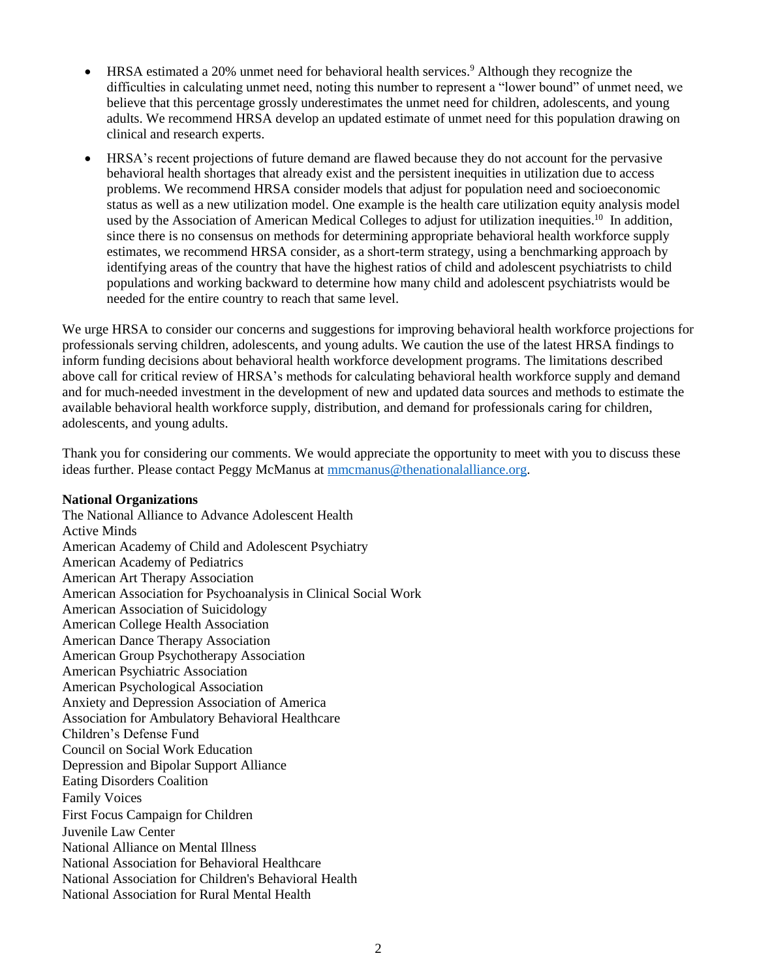- HRSA estimated a 20% unmet need for behavioral health services.<sup>9</sup> Although they recognize the difficulties in calculating unmet need, noting this number to represent a "lower bound" of unmet need, we believe that this percentage grossly underestimates the unmet need for children, adolescents, and young adults. We recommend HRSA develop an updated estimate of unmet need for this population drawing on clinical and research experts.
- HRSA's recent projections of future demand are flawed because they do not account for the pervasive behavioral health shortages that already exist and the persistent inequities in utilization due to access problems. We recommend HRSA consider models that adjust for population need and socioeconomic status as well as a new utilization model. One example is the health care utilization equity analysis model used by the Association of American Medical Colleges to adjust for utilization inequities.<sup>10</sup> In addition, since there is no consensus on methods for determining appropriate behavioral health workforce supply estimates, we recommend HRSA consider, as a short-term strategy, using a benchmarking approach by identifying areas of the country that have the highest ratios of child and adolescent psychiatrists to child populations and working backward to determine how many child and adolescent psychiatrists would be needed for the entire country to reach that same level.

We urge HRSA to consider our concerns and suggestions for improving behavioral health workforce projections for professionals serving children, adolescents, and young adults. We caution the use of the latest HRSA findings to inform funding decisions about behavioral health workforce development programs. The limitations described above call for critical review of HRSA's methods for calculating behavioral health workforce supply and demand and for much-needed investment in the development of new and updated data sources and methods to estimate the available behavioral health workforce supply, distribution, and demand for professionals caring for children, adolescents, and young adults.

Thank you for considering our comments. We would appreciate the opportunity to meet with you to discuss these ideas further. Please contact Peggy McManus at [mmcmanus@thenationalalliance.org.](mailto:mmcmanus@thenationalalliance.org)

## **National Organizations**

The National Alliance to Advance Adolescent Health Active Minds American Academy of Child and Adolescent Psychiatry American Academy of Pediatrics American Art Therapy Association American Association for Psychoanalysis in Clinical Social Work American Association of Suicidology American College Health Association American Dance Therapy Association American Group Psychotherapy Association American Psychiatric Association American Psychological Association Anxiety and Depression Association of America Association for Ambulatory Behavioral Healthcare Children's Defense Fund Council on Social Work Education Depression and Bipolar Support Alliance Eating Disorders Coalition Family Voices First Focus Campaign for Children Juvenile Law Center National Alliance on Mental Illness National Association for Behavioral Healthcare National Association for Children's Behavioral Health National Association for Rural Mental Health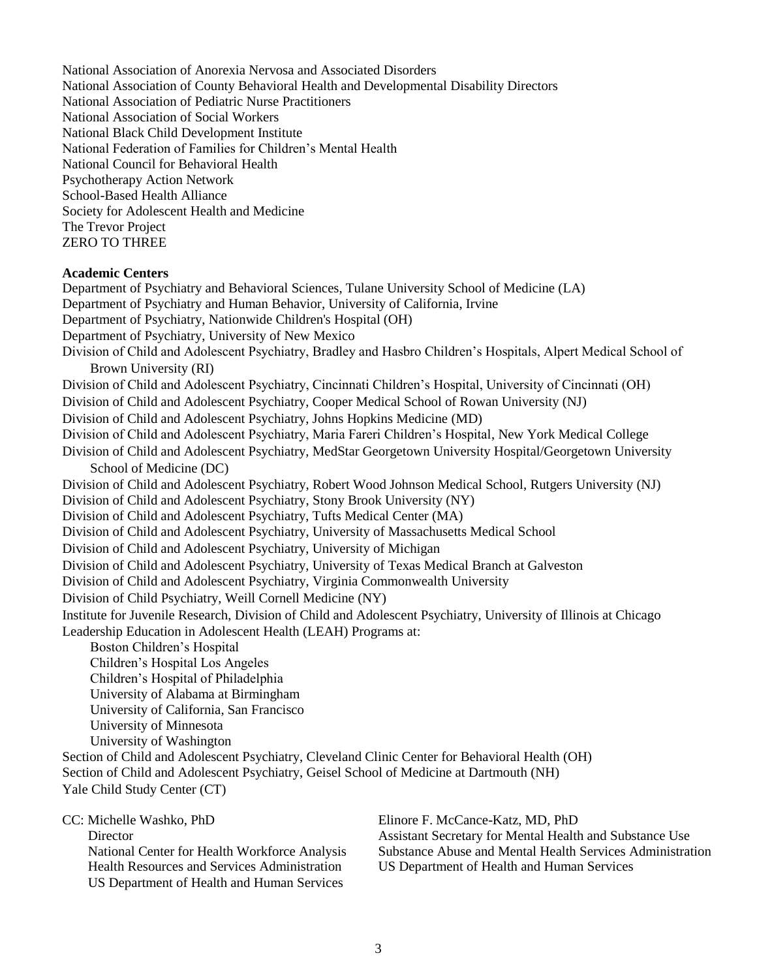National Association of Anorexia Nervosa and Associated Disorders National Association of County Behavioral Health and Developmental Disability Directors National Association of Pediatric Nurse Practitioners National Association of Social Workers National Black Child Development Institute National Federation of Families for Children's Mental Health National Council for Behavioral Health Psychotherapy Action Network School-Based Health Alliance Society for Adolescent Health and Medicine The Trevor Project ZERO TO THREE

## **Academic Centers**

Department of Psychiatry and Behavioral Sciences, Tulane University School of Medicine (LA) Department of Psychiatry and Human Behavior, University of California, Irvine Department of Psychiatry, Nationwide Children's Hospital (OH) Department of Psychiatry, University of New Mexico Division of Child and Adolescent Psychiatry, Bradley and Hasbro Children's Hospitals, Alpert Medical School of Brown University (RI) Division of Child and Adolescent Psychiatry, Cincinnati Children's Hospital, University of Cincinnati (OH) Division of Child and Adolescent Psychiatry, Cooper Medical School of Rowan University (NJ) Division of Child and Adolescent Psychiatry, Johns Hopkins Medicine (MD) Division of Child and Adolescent Psychiatry, Maria Fareri Children's Hospital, New York Medical College Division of Child and Adolescent Psychiatry, MedStar Georgetown University Hospital/Georgetown University School of Medicine (DC) Division of Child and Adolescent Psychiatry, Robert Wood Johnson Medical School, Rutgers University (NJ) Division of Child and Adolescent Psychiatry, Stony Brook University (NY) Division of Child and Adolescent Psychiatry, Tufts Medical Center (MA) Division of Child and Adolescent Psychiatry, University of Massachusetts Medical School Division of Child and Adolescent Psychiatry, University of Michigan Division of Child and Adolescent Psychiatry, University of Texas Medical Branch at Galveston Division of Child and Adolescent Psychiatry, Virginia Commonwealth University Division of Child Psychiatry, Weill Cornell Medicine (NY) Institute for Juvenile Research, Division of Child and Adolescent Psychiatry, University of Illinois at Chicago Leadership Education in Adolescent Health (LEAH) Programs at: Boston Children's Hospital Children's Hospital Los Angeles Children's Hospital of Philadelphia University of Alabama at Birmingham University of California, San Francisco University of Minnesota University of Washington Section of Child and Adolescent Psychiatry, Cleveland Clinic Center for Behavioral Health (OH) Section of Child and Adolescent Psychiatry, Geisel School of Medicine at Dartmouth (NH) Yale Child Study Center (CT) CC: Michelle Washko, PhD **Director** Elinore F. McCance-Katz, MD, PhD

National Center for Health Workforce Analysis Health Resources and Services Administration US Department of Health and Human Services

Assistant Secretary for Mental Health and Substance Use Substance Abuse and Mental Health Services Administration US Department of Health and Human Services